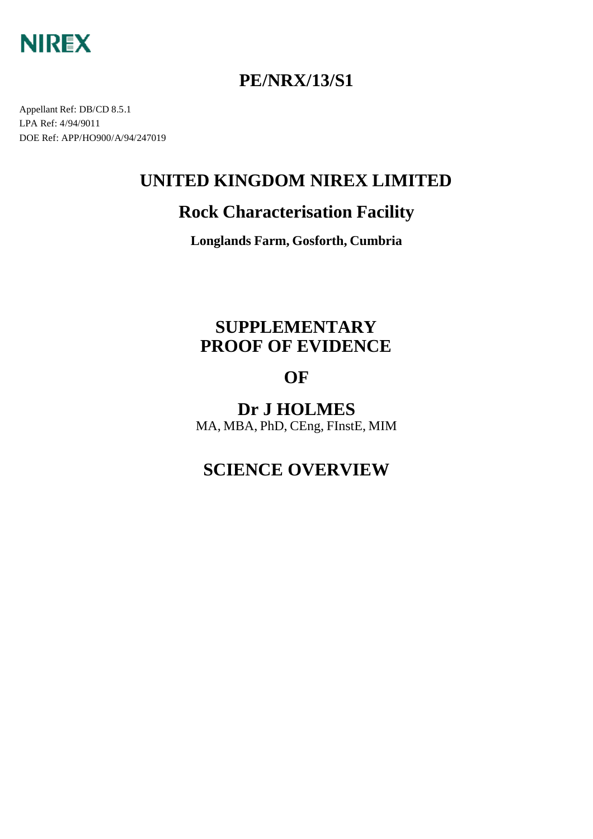

## **PE/NRX/13/S1**

Appellant Ref: DB/CD 8.5.1 LPA Ref: 4/94/9011 DOE Ref: APP/HO900/A/94/247019

## **UNITED KINGDOM NIREX LIMITED**

## **Rock Characterisation Facility**

**Longlands Farm, Gosforth, Cumbria**

## **SUPPLEMENTARY PROOF OF EVIDENCE**

## **OF**

**Dr J HOLMES** MA, MBA, PhD, CEng, FInstE, MIM

## **SCIENCE OVERVIEW**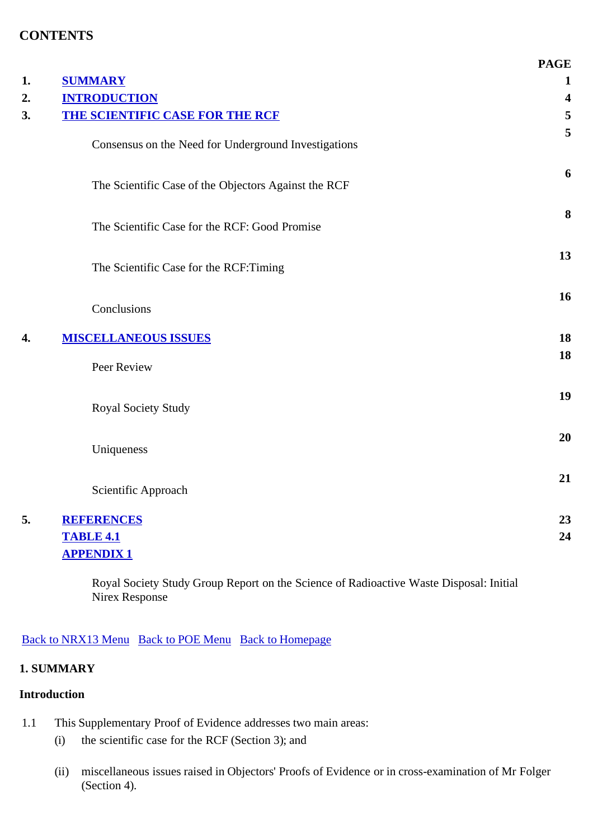### **CONTENTS**

|                                                      | <b>PAGE</b>  |
|------------------------------------------------------|--------------|
| <b>SUMMARY</b>                                       | $\mathbf{1}$ |
| <b>INTRODUCTION</b>                                  | 4            |
| <b>THE SCIENTIFIC CASE FOR THE RCF</b>               | 5            |
| Consensus on the Need for Underground Investigations | 5            |
| The Scientific Case of the Objectors Against the RCF | 6            |
| The Scientific Case for the RCF: Good Promise        | 8            |
| The Scientific Case for the RCF:Timing               | 13           |
| Conclusions                                          | 16           |
| <b>MISCELLANEOUS ISSUES</b>                          | 18           |
| Peer Review                                          | 18           |
| <b>Royal Society Study</b>                           | 19           |
| Uniqueness                                           | 20           |
| Scientific Approach                                  | 21           |
| <b>REFERENCES</b>                                    | 23           |
| <b>TABLE 4.1</b>                                     | 24           |
| <b>APPENDIX1</b>                                     |              |

Royal Society Study Group Report on the Science of Radioactive Waste Disposal: Initial Nirex Response

Back to NRX13 Menu Back to POE Menu Back to Homepage

#### **1. SUMMARY**

#### **Introduction**

- 1.1 This Supplementary Proof of Evidence addresses two main areas:
	- (i) the scientific case for the RCF (Section 3); and
	- (ii) miscellaneous issues raised in Objectors' Proofs of Evidence or in cross-examination of Mr Folger (Section 4).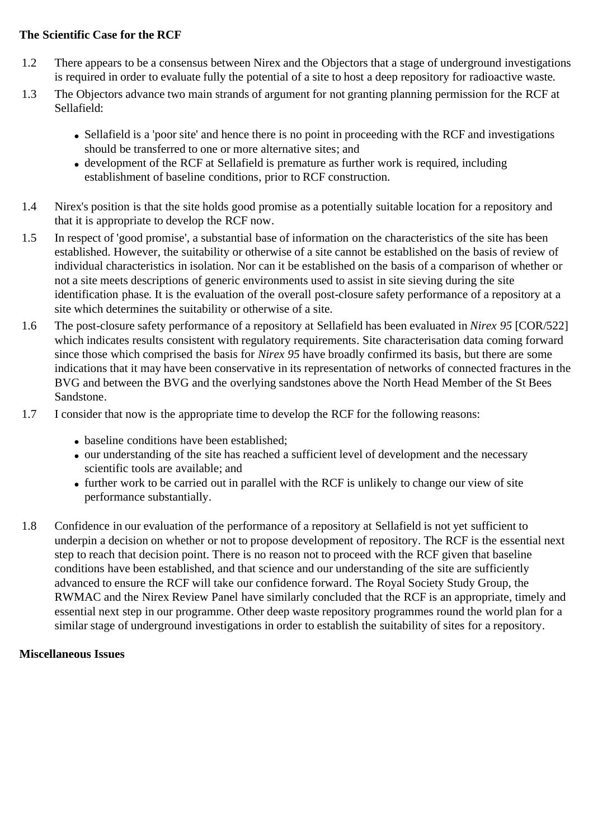#### **The Scientific Case for the RCF**

- 1.2 There appears to be a consensus between Nirex and the Objectors that a stage of underground investigations is required in order to evaluate fully the potential of a site to host a deep repository for radioactive waste.
- 1.3 The Objectors advance two main strands of argument for not granting planning permission for the RCF at Sellafield:
	- Sellafield is a 'poor site' and hence there is no point in proceeding with the RCF and investigations should be transferred to one or more alternative sites; and
	- development of the RCF at Sellafield is premature as further work is required, including establishment of baseline conditions, prior to RCF construction.
- 1.4 Nirex's position is that the site holds good promise as a potentially suitable location for a repository and that it is appropriate to develop the RCF now.
- 1.5 In respect of 'good promise', a substantial base of information on the characteristics of the site has been established. However, the suitability or otherwise of a site cannot be established on the basis of review of individual characteristics in isolation. Nor can it be established on the basis of a comparison of whether or not a site meets descriptions of generic environments used to assist in site sieving during the site identification phase. It is the evaluation of the overall post-closure safety performance of a repository at a site which determines the suitability or otherwise of a site.
- 1.6 The post-closure safety performance of a repository at Sellafield has been evaluated in *Nirex 95* [COR/522] which indicates results consistent with regulatory requirements. Site characterisation data coming forward since those which comprised the basis for *Nirex 95* have broadly confirmed its basis, but there are some indications that it may have been conservative in its representation of networks of connected fractures in the BVG and between the BVG and the overlying sandstones above the North Head Member of the St Bees Sandstone.
- 1.7 I consider that now is the appropriate time to develop the RCF for the following reasons:
	- baseline conditions have been established;
	- our understanding of the site has reached a sufficient level of development and the necessary scientific tools are available; and
	- further work to be carried out in parallel with the RCF is unlikely to change our view of site performance substantially.
- 1.8 Confidence in our evaluation of the performance of a repository at Sellafield is not yet sufficient to underpin a decision on whether or not to propose development of repository. The RCF is the essential next step to reach that decision point. There is no reason not to proceed with the RCF given that baseline conditions have been established, and that science and our understanding of the site are sufficiently advanced to ensure the RCF will take our confidence forward. The Royal Society Study Group, the RWMAC and the Nirex Review Panel have similarly concluded that the RCF is an appropriate, timely and essential next step in our programme. Other deep waste repository programmes round the world plan for a similar stage of underground investigations in order to establish the suitability of sites for a repository.

#### **Miscellaneous Issues**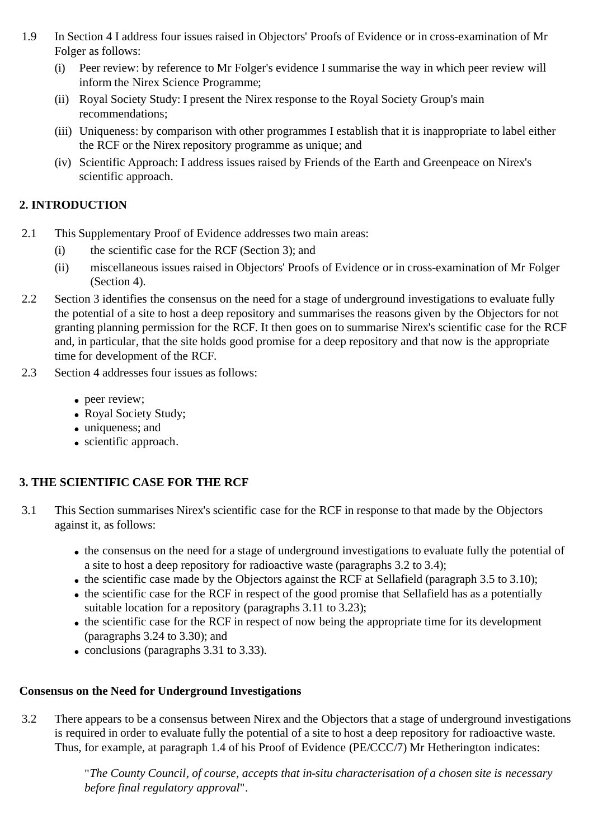- 1.9 In Section 4 I address four issues raised in Objectors' Proofs of Evidence or in cross-examination of Mr Folger as follows:
	- (i) Peer review: by reference to Mr Folger's evidence I summarise the way in which peer review will inform the Nirex Science Programme;
	- (ii) Royal Society Study: I present the Nirex response to the Royal Society Group's main recommendations;
	- (iii) Uniqueness: by comparison with other programmes I establish that it is inappropriate to label either the RCF or the Nirex repository programme as unique; and
	- (iv) Scientific Approach: I address issues raised by Friends of the Earth and Greenpeace on Nirex's scientific approach.

### **2. INTRODUCTION**

- 2.1 This Supplementary Proof of Evidence addresses two main areas:
	- (i) the scientific case for the RCF (Section 3); and
	- (ii) miscellaneous issues raised in Objectors' Proofs of Evidence or in cross-examination of Mr Folger (Section 4).
- 2.2 Section 3 identifies the consensus on the need for a stage of underground investigations to evaluate fully the potential of a site to host a deep repository and summarises the reasons given by the Objectors for not granting planning permission for the RCF. It then goes on to summarise Nirex's scientific case for the RCF and, in particular, that the site holds good promise for a deep repository and that now is the appropriate time for development of the RCF.
- 2.3 Section 4 addresses four issues as follows:
	- peer review;
	- Royal Society Study;
	- uniqueness; and
	- scientific approach.

### **3. THE SCIENTIFIC CASE FOR THE RCF**

- 3.1 This Section summarises Nirex's scientific case for the RCF in response to that made by the Objectors against it, as follows:
	- the consensus on the need for a stage of underground investigations to evaluate fully the potential of a site to host a deep repository for radioactive waste (paragraphs 3.2 to 3.4);
	- the scientific case made by the Objectors against the RCF at Sellafield (paragraph 3.5 to 3.10);
	- the scientific case for the RCF in respect of the good promise that Sellafield has as a potentially suitable location for a repository (paragraphs 3.11 to 3.23);
	- the scientific case for the RCF in respect of now being the appropriate time for its development (paragraphs 3.24 to 3.30); and
	- $\bullet$  conclusions (paragraphs 3.31 to 3.33).

### **Consensus on the Need for Underground Investigations**

3.2 There appears to be a consensus between Nirex and the Objectors that a stage of underground investigations is required in order to evaluate fully the potential of a site to host a deep repository for radioactive waste. Thus, for example, at paragraph 1.4 of his Proof of Evidence (PE/CCC/7) Mr Hetherington indicates:

> "*The County Council, of course, accepts that in-situ characterisation of a chosen site is necessary before final regulatory approval*".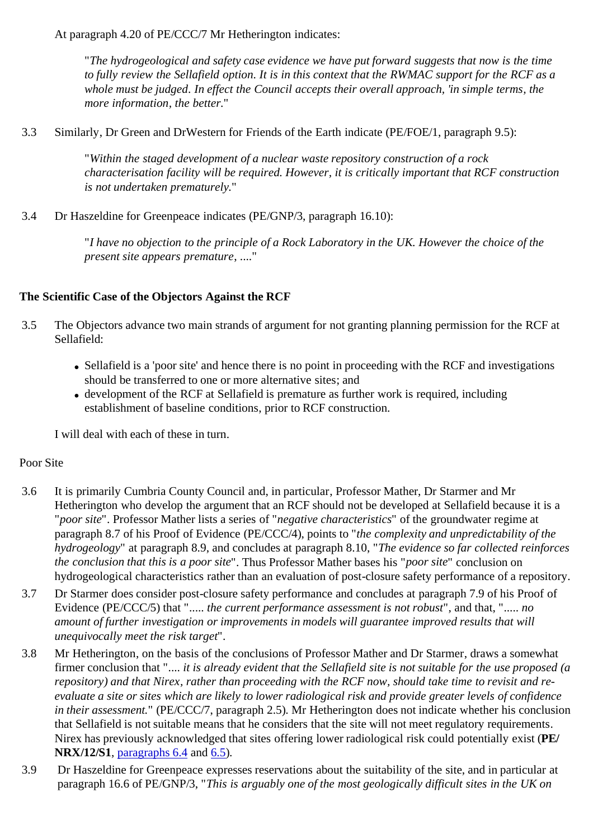At paragraph 4.20 of PE/CCC/7 Mr Hetherington indicates:

"*The hydrogeological and safety case evidence we have put forward suggests that now is the time to fully review the Sellafield option. It is in this context that the RWMAC support for the RCF as a whole must be judged. In effect the Council accepts their overall approach, 'in simple terms, the more information, the better*."

3.3 Similarly, Dr Green and DrWestern for Friends of the Earth indicate (PE/FOE/1, paragraph 9.5):

"*Within the staged development of a nuclear waste repository construction of a rock characterisation facility will be required. However, it is critically important that RCF construction is not undertaken prematurely.*"

3.4 Dr Haszeldine for Greenpeace indicates (PE/GNP/3, paragraph 16.10):

"*I have no objection to the principle of a Rock Laboratory in the UK. However the choice of the present site appears premature*, ...."

### **The Scientific Case of the Objectors Against the RCF**

- 3.5 The Objectors advance two main strands of argument for not granting planning permission for the RCF at Sellafield:
	- Sellafield is a 'poor site' and hence there is no point in proceeding with the RCF and investigations should be transferred to one or more alternative sites; and
	- development of the RCF at Sellafield is premature as further work is required, including establishment of baseline conditions, prior to RCF construction.

I will deal with each of these in turn.

### Poor Site

- 3.6 It is primarily Cumbria County Council and, in particular, Professor Mather, Dr Starmer and Mr Hetherington who develop the argument that an RCF should not be developed at Sellafield because it is a "*poor site*". Professor Mather lists a series of "*negative characteristics*" of the groundwater regime at paragraph 8.7 of his Proof of Evidence (PE/CCC/4), points to "*the complexity and unpredictability of the hydrogeology*" at paragraph 8.9, and concludes at paragraph 8.10, "*The evidence so far collected reinforces the conclusion that this is a poor site*". Thus Professor Mather bases his "*poor site*" conclusion on hydrogeological characteristics rather than an evaluation of post-closure safety performance of a repository.
- 3.7 Dr Starmer does consider post-closure safety performance and concludes at paragraph 7.9 of his Proof of Evidence (PE/CCC/5) that "..... *the current performance assessment is not robust*", and that, "..... *no amount of further investigation or improvements in models will guarantee improved results that will unequivocally meet the risk target*".
- 3.8 Mr Hetherington, on the basis of the conclusions of Professor Mather and Dr Starmer, draws a somewhat firmer conclusion that ".... *it is already evident that the Sellafield site is not suitable for the use proposed (a repository) and that Nirex, rather than proceeding with the RCF now, should take time to revisit and reevaluate a site or sites which are likely to lower radiological risk and provide greater levels of confidence in their assessment.*" (PE/CCC/7, paragraph 2.5). Mr Hetherington does not indicate whether his conclusion that Sellafield is not suitable means that he considers that the site will not meet regulatory requirements. Nirex has previously acknowledged that sites offering lower radiological risk could potentially exist (**PE/ NRX/12/S1**, paragraphs 6.4 and 6.5).
- 3.9 Dr Haszeldine for Greenpeace expresses reservations about the suitability of the site, and in particular at paragraph 16.6 of PE/GNP/3, "*This is arguably one of the most geologically difficult sites in the UK on*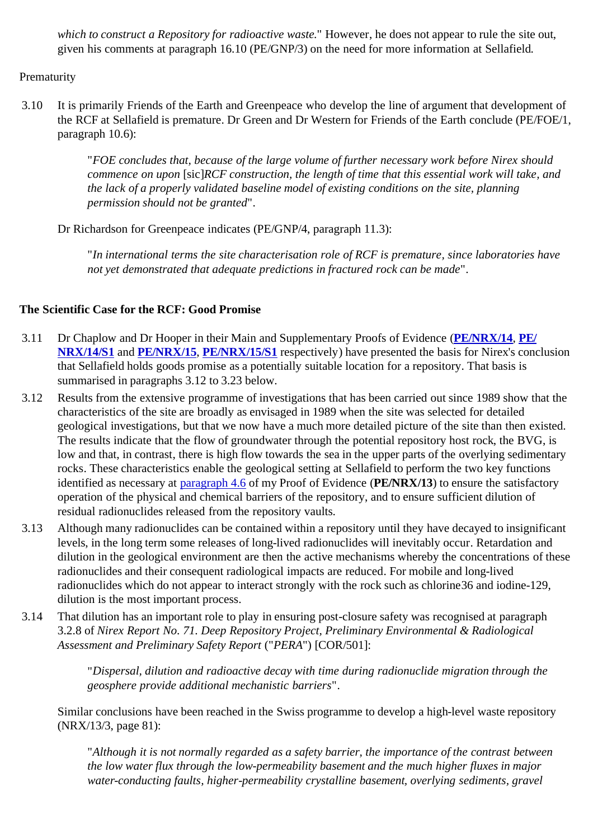*which to construct a Repository for radioactive waste*." However, he does not appear to rule the site out, given his comments at paragraph 16.10 (PE/GNP/3) on the need for more information at Sellafield.

Prematurity

3.10 It is primarily Friends of the Earth and Greenpeace who develop the line of argument that development of the RCF at Sellafield is premature. Dr Green and Dr Western for Friends of the Earth conclude (PE/FOE/1, paragraph 10.6):

> "*FOE concludes that, because of the large volume of further necessary work before Nirex should commence on upon* [sic]*RCF construction, the length of time that this essential work will take, and the lack of a properly validated baseline model of existing conditions on the site, planning permission should not be granted*".

Dr Richardson for Greenpeace indicates (PE/GNP/4, paragraph 11.3):

"*In international terms the site characterisation role of RCF is premature, since laboratories have not yet demonstrated that adequate predictions in fractured rock can be made*".

### **The Scientific Case for the RCF: Good Promise**

- 3.11 Dr Chaplow and Dr Hooper in their Main and Supplementary Proofs of Evidence (**PE/NRX/14**, **PE/ NRX/14/S1** and **PE/NRX/15**, **PE/NRX/15/S1** respectively) have presented the basis for Nirex's conclusion that Sellafield holds goods promise as a potentially suitable location for a repository. That basis is summarised in paragraphs 3.12 to 3.23 below.
- 3.12 Results from the extensive programme of investigations that has been carried out since 1989 show that the characteristics of the site are broadly as envisaged in 1989 when the site was selected for detailed geological investigations, but that we now have a much more detailed picture of the site than then existed. The results indicate that the flow of groundwater through the potential repository host rock, the BVG, is low and that, in contrast, there is high flow towards the sea in the upper parts of the overlying sedimentary rocks. These characteristics enable the geological setting at Sellafield to perform the two key functions identified as necessary at paragraph 4.6 of my Proof of Evidence (**PE/NRX/13**) to ensure the satisfactory operation of the physical and chemical barriers of the repository, and to ensure sufficient dilution of residual radionuclides released from the repository vaults.
- 3.13 Although many radionuclides can be contained within a repository until they have decayed to insignificant levels, in the long term some releases of long-lived radionuclides will inevitably occur. Retardation and dilution in the geological environment are then the active mechanisms whereby the concentrations of these radionuclides and their consequent radiological impacts are reduced. For mobile and long-lived radionuclides which do not appear to interact strongly with the rock such as chlorine36 and iodine-129, dilution is the most important process.
- 3.14 That dilution has an important role to play in ensuring post-closure safety was recognised at paragraph 3.2.8 of *Nirex Report No. 71. Deep Repository Project, Preliminary Environmental & Radiological Assessment and Preliminary Safety Report* ("*PERA*") [COR/501]:

"*Dispersal, dilution and radioactive decay with time during radionuclide migration through the geosphere provide additional mechanistic barriers*".

Similar conclusions have been reached in the Swiss programme to develop a high-level waste repository (NRX/13/3, page 81):

"*Although it is not normally regarded as a safety barrier, the importance of the contrast between the low water flux through the low-permeability basement and the much higher fluxes in major water-conducting faults, higher-permeability crystalline basement, overlying sediments, gravel*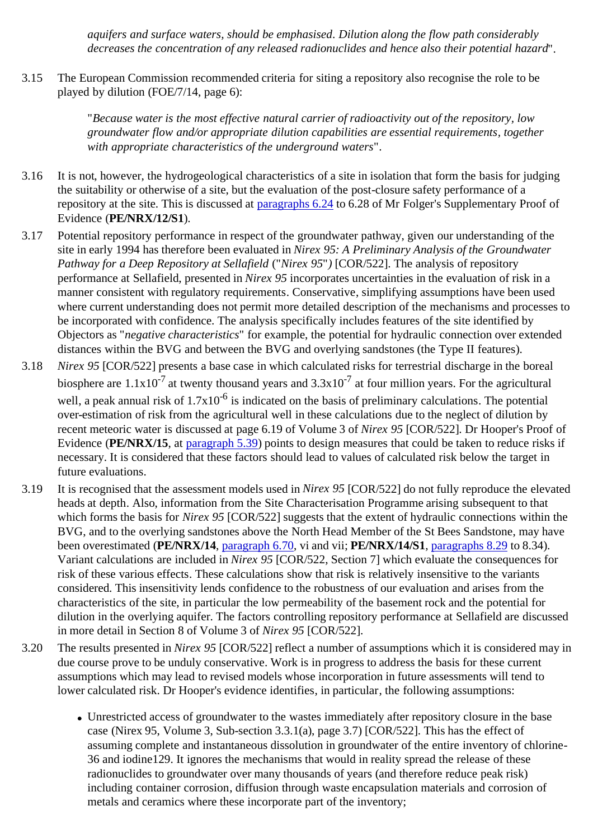*aquifers and surface waters, should be emphasised. Dilution along the flow path considerably decreases the concentration of any released radionuclides and hence also their potential hazard*".

3.15 The European Commission recommended criteria for siting a repository also recognise the role to be played by dilution (FOE/7/14, page 6):

> "*Because water is the most effective natural carrier of radioactivity out of the repository, low groundwater flow and/or appropriate dilution capabilities are essential requirements, together with appropriate characteristics of the underground waters*".

- 3.16 It is not, however, the hydrogeological characteristics of a site in isolation that form the basis for judging the suitability or otherwise of a site, but the evaluation of the post-closure safety performance of a repository at the site. This is discussed at paragraphs 6.24 to 6.28 of Mr Folger's Supplementary Proof of Evidence (**PE/NRX/12/S1**).
- 3.17 Potential repository performance in respect of the groundwater pathway, given our understanding of the site in early 1994 has therefore been evaluated in *Nirex 95: A Preliminary Analysis of the Groundwater Pathway for a Deep Repository at Sellafield* ("*Nirex 95*"*)* [COR/522]. The analysis of repository performance at Sellafield, presented in *Nirex 95* incorporates uncertainties in the evaluation of risk in a manner consistent with regulatory requirements. Conservative, simplifying assumptions have been used where current understanding does not permit more detailed description of the mechanisms and processes to be incorporated with confidence. The analysis specifically includes features of the site identified by Objectors as "*negative characteristics*" for example, the potential for hydraulic connection over extended distances within the BVG and between the BVG and overlying sandstones (the Type II features).
- 3.18 *Nirex 95* [COR/522] presents a base case in which calculated risks for terrestrial discharge in the boreal biosphere are  $1.1x10^{-7}$  at twenty thousand years and  $3.3x10^{-7}$  at four million years. For the agricultural well, a peak annual risk of  $1.7x10^{-6}$  is indicated on the basis of preliminary calculations. The potential over-estimation of risk from the agricultural well in these calculations due to the neglect of dilution by recent meteoric water is discussed at page 6.19 of Volume 3 of *Nirex 95* [COR/522]. Dr Hooper's Proof of Evidence (**PE/NRX/15**, at paragraph 5.39) points to design measures that could be taken to reduce risks if necessary. It is considered that these factors should lead to values of calculated risk below the target in future evaluations.
- 3.19 It is recognised that the assessment models used in *Nirex 95* [COR/522] do not fully reproduce the elevated heads at depth. Also, information from the Site Characterisation Programme arising subsequent to that which forms the basis for *Nirex 95* [COR/522] suggests that the extent of hydraulic connections within the BVG, and to the overlying sandstones above the North Head Member of the St Bees Sandstone, may have been overestimated (**PE/NRX/14**, paragraph 6.70, vi and vii; **PE/NRX/14/S1**, paragraphs 8.29 to 8.34). Variant calculations are included in *Nirex 95* [COR/522, Section 7] which evaluate the consequences for risk of these various effects. These calculations show that risk is relatively insensitive to the variants considered. This insensitivity lends confidence to the robustness of our evaluation and arises from the characteristics of the site, in particular the low permeability of the basement rock and the potential for dilution in the overlying aquifer. The factors controlling repository performance at Sellafield are discussed in more detail in Section 8 of Volume 3 of *Nirex 95* [COR/522].
- 3.20 The results presented in *Nirex 95* [COR/522] reflect a number of assumptions which it is considered may in due course prove to be unduly conservative. Work is in progress to address the basis for these current assumptions which may lead to revised models whose incorporation in future assessments will tend to lower calculated risk. Dr Hooper's evidence identifies, in particular, the following assumptions:
	- Unrestricted access of groundwater to the wastes immediately after repository closure in the base case (Nirex 95, Volume 3, Sub-section 3.3.1(a), page 3.7) [COR/522]. This has the effect of assuming complete and instantaneous dissolution in groundwater of the entire inventory of chlorine-36 and iodine129. It ignores the mechanisms that would in reality spread the release of these radionuclides to groundwater over many thousands of years (and therefore reduce peak risk) including container corrosion, diffusion through waste encapsulation materials and corrosion of metals and ceramics where these incorporate part of the inventory;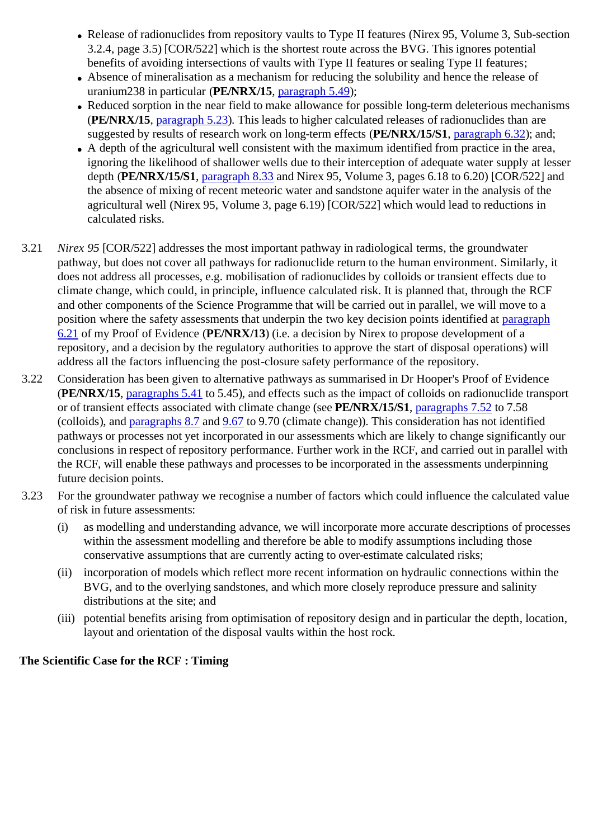- Release of radionuclides from repository vaults to Type II features (Nirex 95, Volume 3, Sub-section 3.2.4, page 3.5) [COR/522] which is the shortest route across the BVG. This ignores potential benefits of avoiding intersections of vaults with Type II features or sealing Type II features;
- Absence of mineralisation as a mechanism for reducing the solubility and hence the release of uranium238 in particular (**PE/NRX/15**, paragraph 5.49);
- Reduced sorption in the near field to make allowance for possible long-term deleterious mechanisms (**PE/NRX/15**, paragraph 5.23). This leads to higher calculated releases of radionuclides than are suggested by results of research work on long-term effects (**PE/NRX/15/S1**, paragraph 6.32); and;
- A depth of the agricultural well consistent with the maximum identified from practice in the area, ignoring the likelihood of shallower wells due to their interception of adequate water supply at lesser depth (**PE/NRX/15/S1**, paragraph 8.33 and Nirex 95, Volume 3, pages 6.18 to 6.20) [COR/522] and the absence of mixing of recent meteoric water and sandstone aquifer water in the analysis of the agricultural well (Nirex 95, Volume 3, page 6.19) [COR/522] which would lead to reductions in calculated risks.
- 3.21 *Nirex 95* [COR/522] addresses the most important pathway in radiological terms, the groundwater pathway, but does not cover all pathways for radionuclide return to the human environment. Similarly, it does not address all processes, e.g. mobilisation of radionuclides by colloids or transient effects due to climate change, which could, in principle, influence calculated risk. It is planned that, through the RCF and other components of the Science Programme that will be carried out in parallel, we will move to a position where the safety assessments that underpin the two key decision points identified at paragraph 6.21 of my Proof of Evidence (**PE/NRX/13**) (i.e. a decision by Nirex to propose development of a repository, and a decision by the regulatory authorities to approve the start of disposal operations) will address all the factors influencing the post-closure safety performance of the repository.
- 3.22 Consideration has been given to alternative pathways as summarised in Dr Hooper's Proof of Evidence (**PE/NRX/15**, paragraphs 5.41 to 5.45), and effects such as the impact of colloids on radionuclide transport or of transient effects associated with climate change (see **PE/NRX/15/S1**, paragraphs 7.52 to 7.58 (colloids), and paragraphs 8.7 and 9.67 to 9.70 (climate change)). This consideration has not identified pathways or processes not yet incorporated in our assessments which are likely to change significantly our conclusions in respect of repository performance. Further work in the RCF, and carried out in parallel with the RCF, will enable these pathways and processes to be incorporated in the assessments underpinning future decision points.
- 3.23 For the groundwater pathway we recognise a number of factors which could influence the calculated value of risk in future assessments:
	- (i) as modelling and understanding advance, we will incorporate more accurate descriptions of processes within the assessment modelling and therefore be able to modify assumptions including those conservative assumptions that are currently acting to over-estimate calculated risks;
	- (ii) incorporation of models which reflect more recent information on hydraulic connections within the BVG, and to the overlying sandstones, and which more closely reproduce pressure and salinity distributions at the site; and
	- (iii) potential benefits arising from optimisation of repository design and in particular the depth, location, layout and orientation of the disposal vaults within the host rock.

#### **The Scientific Case for the RCF : Timing**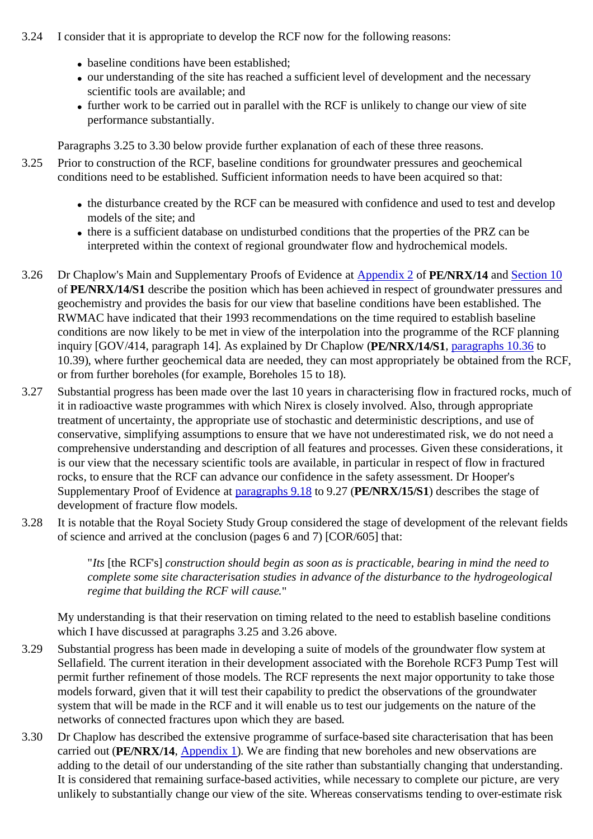- 3.24 I consider that it is appropriate to develop the RCF now for the following reasons:
	- baseline conditions have been established:
	- our understanding of the site has reached a sufficient level of development and the necessary scientific tools are available; and
	- further work to be carried out in parallel with the RCF is unlikely to change our view of site performance substantially.

Paragraphs 3.25 to 3.30 below provide further explanation of each of these three reasons.

- 3.25 Prior to construction of the RCF, baseline conditions for groundwater pressures and geochemical conditions need to be established. Sufficient information needs to have been acquired so that:
	- the disturbance created by the RCF can be measured with confidence and used to test and develop models of the site; and
	- there is a sufficient database on undisturbed conditions that the properties of the PRZ can be interpreted within the context of regional groundwater flow and hydrochemical models.
- 3.26 Dr Chaplow's Main and Supplementary Proofs of Evidence at Appendix 2 of **PE/NRX/14** and Section 10 of **PE/NRX/14/S1** describe the position which has been achieved in respect of groundwater pressures and geochemistry and provides the basis for our view that baseline conditions have been established. The RWMAC have indicated that their 1993 recommendations on the time required to establish baseline conditions are now likely to be met in view of the interpolation into the programme of the RCF planning inquiry [GOV/414, paragraph 14]. As explained by Dr Chaplow (**PE/NRX/14/S1**, paragraphs 10.36 to 10.39), where further geochemical data are needed, they can most appropriately be obtained from the RCF, or from further boreholes (for example, Boreholes 15 to 18).
- 3.27 Substantial progress has been made over the last 10 years in characterising flow in fractured rocks, much of it in radioactive waste programmes with which Nirex is closely involved. Also, through appropriate treatment of uncertainty, the appropriate use of stochastic and deterministic descriptions, and use of conservative, simplifying assumptions to ensure that we have not underestimated risk, we do not need a comprehensive understanding and description of all features and processes. Given these considerations, it is our view that the necessary scientific tools are available, in particular in respect of flow in fractured rocks, to ensure that the RCF can advance our confidence in the safety assessment. Dr Hooper's Supplementary Proof of Evidence at paragraphs 9.18 to 9.27 (**PE/NRX/15/S1**) describes the stage of development of fracture flow models.
- 3.28 It is notable that the Royal Society Study Group considered the stage of development of the relevant fields of science and arrived at the conclusion (pages 6 and 7) [COR/605] that:

"*Its* [the RCF's] *construction should begin as soon as is practicable, bearing in mind the need to complete some site characterisation studies in advance of the disturbance to the hydrogeological regime that building the RCF will cause.*"

My understanding is that their reservation on timing related to the need to establish baseline conditions which I have discussed at paragraphs 3.25 and 3.26 above.

- 3.29 Substantial progress has been made in developing a suite of models of the groundwater flow system at Sellafield. The current iteration in their development associated with the Borehole RCF3 Pump Test will permit further refinement of those models. The RCF represents the next major opportunity to take those models forward, given that it will test their capability to predict the observations of the groundwater system that will be made in the RCF and it will enable us to test our judgements on the nature of the networks of connected fractures upon which they are based.
- 3.30 Dr Chaplow has described the extensive programme of surface-based site characterisation that has been carried out (**PE/NRX/14**, Appendix 1). We are finding that new boreholes and new observations are adding to the detail of our understanding of the site rather than substantially changing that understanding. It is considered that remaining surface-based activities, while necessary to complete our picture, are very unlikely to substantially change our view of the site. Whereas conservatisms tending to over-estimate risk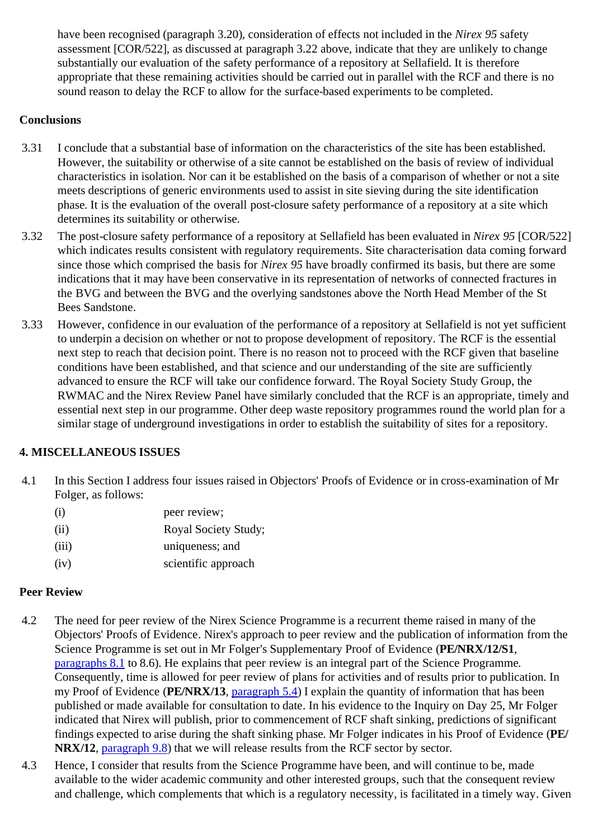have been recognised (paragraph 3.20), consideration of effects not included in the *Nirex 95* safety assessment [COR/522], as discussed at paragraph 3.22 above, indicate that they are unlikely to change substantially our evaluation of the safety performance of a repository at Sellafield. It is therefore appropriate that these remaining activities should be carried out in parallel with the RCF and there is no sound reason to delay the RCF to allow for the surface-based experiments to be completed.

### **Conclusions**

- 3.31 I conclude that a substantial base of information on the characteristics of the site has been established. However, the suitability or otherwise of a site cannot be established on the basis of review of individual characteristics in isolation. Nor can it be established on the basis of a comparison of whether or not a site meets descriptions of generic environments used to assist in site sieving during the site identification phase. It is the evaluation of the overall post-closure safety performance of a repository at a site which determines its suitability or otherwise.
- 3.32 The post-closure safety performance of a repository at Sellafield has been evaluated in *Nirex 95* [COR/522] which indicates results consistent with regulatory requirements. Site characterisation data coming forward since those which comprised the basis for *Nirex 95* have broadly confirmed its basis, but there are some indications that it may have been conservative in its representation of networks of connected fractures in the BVG and between the BVG and the overlying sandstones above the North Head Member of the St Bees Sandstone.
- 3.33 However, confidence in our evaluation of the performance of a repository at Sellafield is not yet sufficient to underpin a decision on whether or not to propose development of repository. The RCF is the essential next step to reach that decision point. There is no reason not to proceed with the RCF given that baseline conditions have been established, and that science and our understanding of the site are sufficiently advanced to ensure the RCF will take our confidence forward. The Royal Society Study Group, the RWMAC and the Nirex Review Panel have similarly concluded that the RCF is an appropriate, timely and essential next step in our programme. Other deep waste repository programmes round the world plan for a similar stage of underground investigations in order to establish the suitability of sites for a repository.

## **4. MISCELLANEOUS ISSUES**

4.1 In this Section I address four issues raised in Objectors' Proofs of Evidence or in cross-examination of Mr Folger, as follows:

| (i)   | peer review;         |
|-------|----------------------|
| (ii)  | Royal Society Study; |
| (iii) | uniqueness; and      |
| (iv)  | scientific approach  |

### **Peer Review**

- 4.2 The need for peer review of the Nirex Science Programme is a recurrent theme raised in many of the Objectors' Proofs of Evidence. Nirex's approach to peer review and the publication of information from the Science Programme is set out in Mr Folger's Supplementary Proof of Evidence (**PE/NRX/12/S1**, paragraphs 8.1 to 8.6). He explains that peer review is an integral part of the Science Programme. Consequently, time is allowed for peer review of plans for activities and of results prior to publication. In my Proof of Evidence (**PE/NRX/13**, paragraph 5.4) I explain the quantity of information that has been published or made available for consultation to date. In his evidence to the Inquiry on Day 25, Mr Folger indicated that Nirex will publish, prior to commencement of RCF shaft sinking, predictions of significant findings expected to arise during the shaft sinking phase. Mr Folger indicates in his Proof of Evidence (**PE/ NRX/12**, paragraph 9.8) that we will release results from the RCF sector by sector.
- 4.3 Hence, I consider that results from the Science Programme have been, and will continue to be, made available to the wider academic community and other interested groups, such that the consequent review and challenge, which complements that which is a regulatory necessity, is facilitated in a timely way. Given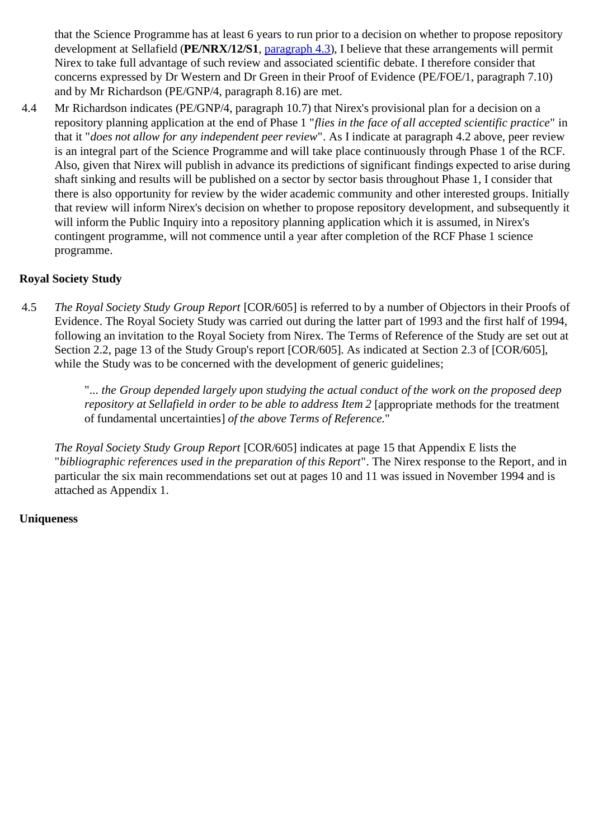that the Science Programme has at least 6 years to run prior to a decision on whether to propose repository development at Sellafield (**PE/NRX/12/S1**, paragraph 4.3), I believe that these arrangements will permit Nirex to take full advantage of such review and associated scientific debate. I therefore consider that concerns expressed by Dr Western and Dr Green in their Proof of Evidence (PE/FOE/1, paragraph 7.10) and by Mr Richardson (PE/GNP/4, paragraph 8.16) are met.

4.4 Mr Richardson indicates (PE/GNP/4, paragraph 10.7) that Nirex's provisional plan for a decision on a repository planning application at the end of Phase 1 "*flies in the face of all accepted scientific practice*" in that it "*does not allow for any independent peer review*". As I indicate at paragraph 4.2 above, peer review is an integral part of the Science Programme and will take place continuously through Phase 1 of the RCF. Also, given that Nirex will publish in advance its predictions of significant findings expected to arise during shaft sinking and results will be published on a sector by sector basis throughout Phase 1, I consider that there is also opportunity for review by the wider academic community and other interested groups. Initially that review will inform Nirex's decision on whether to propose repository development, and subsequently it will inform the Public Inquiry into a repository planning application which it is assumed, in Nirex's contingent programme, will not commence until a year after completion of the RCF Phase 1 science programme.

### **Royal Society Study**

4.5 *The Royal Society Study Group Report* [COR/605] is referred to by a number of Objectors in their Proofs of Evidence. The Royal Society Study was carried out during the latter part of 1993 and the first half of 1994, following an invitation to the Royal Society from Nirex. The Terms of Reference of the Study are set out at Section 2.2, page 13 of the Study Group's report [COR/605]. As indicated at Section 2.3 of [COR/605], while the Study was to be concerned with the development of generic guidelines;

> "*... the Group depended largely upon studying the actual conduct of the work on the proposed deep repository at Sellafield in order to be able to address Item 2* [appropriate methods for the treatment of fundamental uncertainties] *of the above Terms of Reference.*"

*The Royal Society Study Group Report* [COR/605] indicates at page 15 that Appendix E lists the "*bibliographic references used in the preparation of this Report*". The Nirex response to the Report, and in particular the six main recommendations set out at pages 10 and 11 was issued in November 1994 and is attached as Appendix 1.

#### **Uniqueness**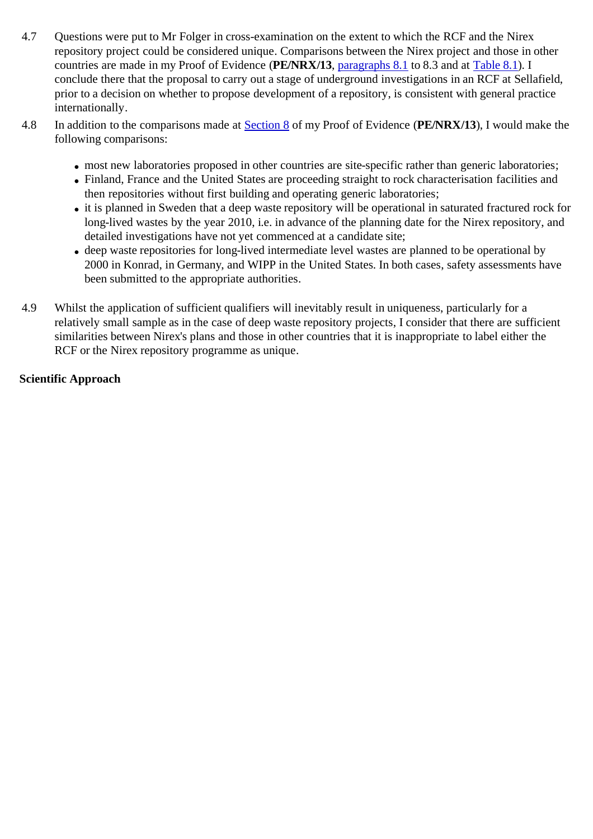- 4.7 Questions were put to Mr Folger in cross-examination on the extent to which the RCF and the Nirex repository project could be considered unique. Comparisons between the Nirex project and those in other countries are made in my Proof of Evidence (**PE/NRX/13**, paragraphs 8.1 to 8.3 and at Table 8.1). I conclude there that the proposal to carry out a stage of underground investigations in an RCF at Sellafield, prior to a decision on whether to propose development of a repository, is consistent with general practice internationally.
- 4.8 In addition to the comparisons made at Section 8 of my Proof of Evidence (**PE/NRX/13**), I would make the following comparisons:
	- most new laboratories proposed in other countries are site-specific rather than generic laboratories;
	- Finland, France and the United States are proceeding straight to rock characterisation facilities and then repositories without first building and operating generic laboratories;
	- it is planned in Sweden that a deep waste repository will be operational in saturated fractured rock for long-lived wastes by the year 2010, i.e. in advance of the planning date for the Nirex repository, and detailed investigations have not yet commenced at a candidate site;
	- deep waste repositories for long-lived intermediate level wastes are planned to be operational by 2000 in Konrad, in Germany, and WIPP in the United States. In both cases, safety assessments have been submitted to the appropriate authorities.
- 4.9 Whilst the application of sufficient qualifiers will inevitably result in uniqueness, particularly for a relatively small sample as in the case of deep waste repository projects, I consider that there are sufficient similarities between Nirex's plans and those in other countries that it is inappropriate to label either the RCF or the Nirex repository programme as unique.

#### **Scientific Approach**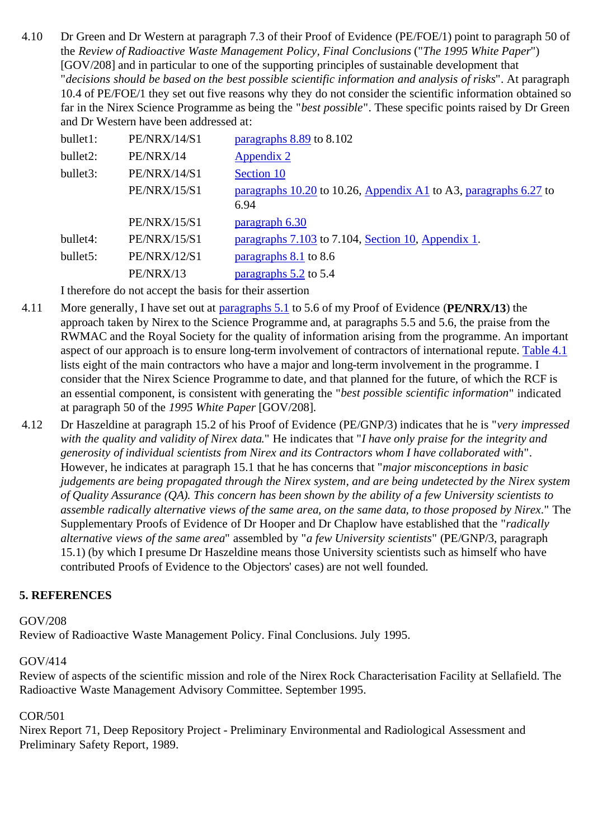4.10 Dr Green and Dr Western at paragraph 7.3 of their Proof of Evidence (PE/FOE/1) point to paragraph 50 of the *Review of Radioactive Waste Management Policy, Final Conclusions* ("*The 1995 White Paper*") [GOV/208] and in particular to one of the supporting principles of sustainable development that "*decisions should be based on the best possible scientific information and analysis of risks*". At paragraph 10.4 of PE/FOE/1 they set out five reasons why they do not consider the scientific information obtained so far in the Nirex Science Programme as being the "*best possible*". These specific points raised by Dr Green and Dr Western have been addressed at:

| bullet1: | <b>PE/NRX/14/S1</b> | paragraphs 8.89 to 8.102                                                 |
|----------|---------------------|--------------------------------------------------------------------------|
| bullet2: | PE/NRX/14           | Appendix 2                                                               |
| bullet3: | <b>PE/NRX/14/S1</b> | Section 10                                                               |
|          | <b>PE/NRX/15/S1</b> | paragraphs 10.20 to 10.26, Appendix A1 to A3, paragraphs 6.27 to<br>6.94 |
|          | <b>PE/NRX/15/S1</b> | paragraph 6.30                                                           |
| bullet4: | <b>PE/NRX/15/S1</b> | paragraphs 7.103 to 7.104, Section 10, Appendix 1.                       |
| bullet5: | <b>PE/NRX/12/S1</b> | paragraphs 8.1 to 8.6                                                    |
|          | PE/NRX/13           | paragraphs 5.2 to 5.4                                                    |
|          |                     |                                                                          |

I therefore do not accept the basis for their assertion

- 4.11 More generally, I have set out at paragraphs 5.1 to 5.6 of my Proof of Evidence (**PE/NRX/13**) the approach taken by Nirex to the Science Programme and, at paragraphs 5.5 and 5.6, the praise from the RWMAC and the Royal Society for the quality of information arising from the programme. An important aspect of our approach is to ensure long-term involvement of contractors of international repute. Table 4.1 lists eight of the main contractors who have a major and long-term involvement in the programme. I consider that the Nirex Science Programme to date, and that planned for the future, of which the RCF is an essential component, is consistent with generating the "*best possible scientific information*" indicated at paragraph 50 of the *1995 White Paper* [GOV/208].
- 4.12 Dr Haszeldine at paragraph 15.2 of his Proof of Evidence (PE/GNP/3) indicates that he is "*very impressed with the quality and validity of Nirex data.*" He indicates that "*I have only praise for the integrity and generosity of individual scientists from Nirex and its Contractors whom I have collaborated with*". However, he indicates at paragraph 15.1 that he has concerns that "*major misconceptions in basic judgements are being propagated through the Nirex system, and are being undetected by the Nirex system of Quality Assurance (QA). This concern has been shown by the ability of a few University scientists to assemble radically alternative views of the same area, on the same data, to those proposed by Nirex.*" The Supplementary Proofs of Evidence of Dr Hooper and Dr Chaplow have established that the "*radically alternative views of the same area*" assembled by "*a few University scientists*" (PE/GNP/3, paragraph 15.1) (by which I presume Dr Haszeldine means those University scientists such as himself who have contributed Proofs of Evidence to the Objectors' cases) are not well founded.

#### **5. REFERENCES**

#### GOV/208

Review of Radioactive Waste Management Policy. Final Conclusions. July 1995.

#### GOV/414

Review of aspects of the scientific mission and role of the Nirex Rock Characterisation Facility at Sellafield. The Radioactive Waste Management Advisory Committee. September 1995.

#### COR/501

Nirex Report 71, Deep Repository Project - Preliminary Environmental and Radiological Assessment and Preliminary Safety Report, 1989.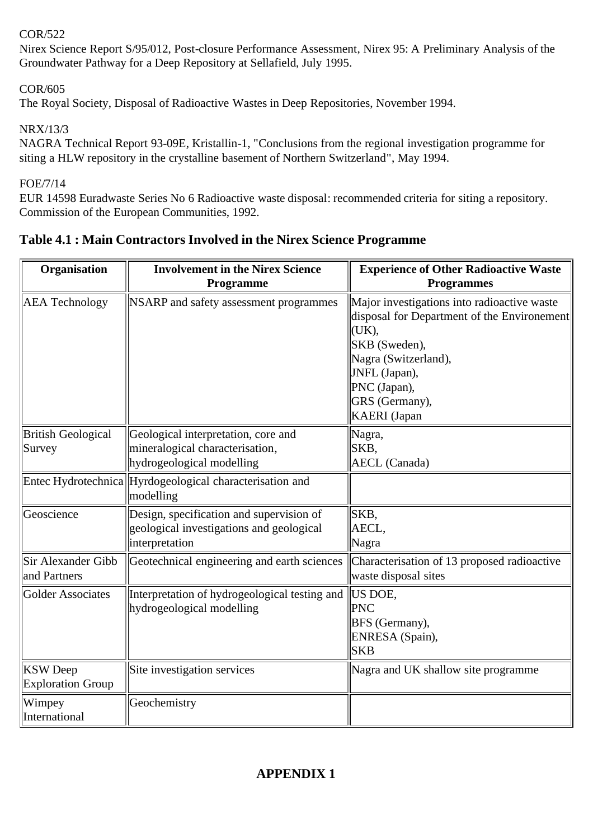### COR/522

Nirex Science Report S/95/012, Post-closure Performance Assessment, Nirex 95: A Preliminary Analysis of the Groundwater Pathway for a Deep Repository at Sellafield, July 1995.

### COR/605

The Royal Society, Disposal of Radioactive Wastes in Deep Repositories, November 1994.

NRX/13/3

NAGRA Technical Report 93-09E, Kristallin-1, "Conclusions from the regional investigation programme for siting a HLW repository in the crystalline basement of Northern Switzerland", May 1994.

FOE/7/14

EUR 14598 Euradwaste Series No 6 Radioactive waste disposal: recommended criteria for siting a repository. Commission of the European Communities, 1992.

| Organisation                                | <b>Involvement in the Nirex Science</b><br>Programme                                                   | <b>Experience of Other Radioactive Waste</b><br><b>Programmes</b>                                                                                                                                                      |
|---------------------------------------------|--------------------------------------------------------------------------------------------------------|------------------------------------------------------------------------------------------------------------------------------------------------------------------------------------------------------------------------|
| <b>AEA</b> Technology                       | NSARP and safety assessment programmes                                                                 | Major investigations into radioactive waste<br>disposal for Department of the Environement<br>(UK),<br>SKB (Sweden),<br>Nagra (Switzerland),<br>JNFL (Japan),<br>PNC (Japan),<br>GRS (Germany),<br><b>KAERI</b> (Japan |
| <b>British Geological</b><br>Survey         | Geological interpretation, core and<br>mineralogical characterisation,<br>hydrogeological modelling    | Nagra,<br>SKB,<br><b>AECL</b> (Canada)                                                                                                                                                                                 |
|                                             | Entec Hydrotechnica Hyrdogeological characterisation and<br>modelling                                  |                                                                                                                                                                                                                        |
| Geoscience                                  | Design, specification and supervision of<br>geological investigations and geological<br>interpretation | SKB,<br>AECL,<br>Nagra                                                                                                                                                                                                 |
| Sir Alexander Gibb<br>and Partners          | Geotechnical engineering and earth sciences                                                            | Characterisation of 13 proposed radioactive<br>waste disposal sites                                                                                                                                                    |
| <b>Golder Associates</b>                    | Interpretation of hydrogeological testing and<br>hydrogeological modelling                             | US DOE,<br><b>PNC</b><br>BFS (Germany),<br>ENRESA (Spain),<br><b>SKB</b>                                                                                                                                               |
| <b>KSW</b> Deep<br><b>Exploration Group</b> | Site investigation services                                                                            | Nagra and UK shallow site programme                                                                                                                                                                                    |
| Wimpey<br>International                     | Geochemistry                                                                                           |                                                                                                                                                                                                                        |

## **Table 4.1 : Main Contractors Involved in the Nirex Science Programme**

## **APPENDIX 1**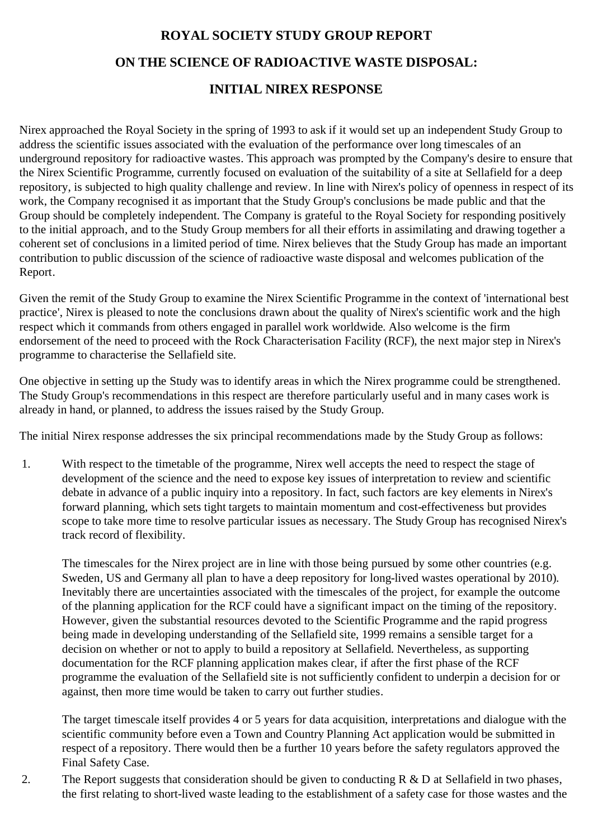# **ROYAL SOCIETY STUDY GROUP REPORT ON THE SCIENCE OF RADIOACTIVE WASTE DISPOSAL: INITIAL NIREX RESPONSE**

Nirex approached the Royal Society in the spring of 1993 to ask if it would set up an independent Study Group to address the scientific issues associated with the evaluation of the performance over long timescales of an underground repository for radioactive wastes. This approach was prompted by the Company's desire to ensure that the Nirex Scientific Programme, currently focused on evaluation of the suitability of a site at Sellafield for a deep repository, is subjected to high quality challenge and review. In line with Nirex's policy of openness in respect of its work, the Company recognised it as important that the Study Group's conclusions be made public and that the Group should be completely independent. The Company is grateful to the Royal Society for responding positively to the initial approach, and to the Study Group members for all their efforts in assimilating and drawing together a coherent set of conclusions in a limited period of time. Nirex believes that the Study Group has made an important contribution to public discussion of the science of radioactive waste disposal and welcomes publication of the Report.

Given the remit of the Study Group to examine the Nirex Scientific Programme in the context of 'international best practice', Nirex is pleased to note the conclusions drawn about the quality of Nirex's scientific work and the high respect which it commands from others engaged in parallel work worldwide. Also welcome is the firm endorsement of the need to proceed with the Rock Characterisation Facility (RCF), the next major step in Nirex's programme to characterise the Sellafield site.

One objective in setting up the Study was to identify areas in which the Nirex programme could be strengthened. The Study Group's recommendations in this respect are therefore particularly useful and in many cases work is already in hand, or planned, to address the issues raised by the Study Group.

The initial Nirex response addresses the six principal recommendations made by the Study Group as follows:

1. With respect to the timetable of the programme, Nirex well accepts the need to respect the stage of development of the science and the need to expose key issues of interpretation to review and scientific debate in advance of a public inquiry into a repository. In fact, such factors are key elements in Nirex's forward planning, which sets tight targets to maintain momentum and cost-effectiveness but provides scope to take more time to resolve particular issues as necessary. The Study Group has recognised Nirex's track record of flexibility.

The timescales for the Nirex project are in line with those being pursued by some other countries (e.g. Sweden, US and Germany all plan to have a deep repository for long-lived wastes operational by 2010). Inevitably there are uncertainties associated with the timescales of the project, for example the outcome of the planning application for the RCF could have a significant impact on the timing of the repository. However, given the substantial resources devoted to the Scientific Programme and the rapid progress being made in developing understanding of the Sellafield site, 1999 remains a sensible target for a decision on whether or not to apply to build a repository at Sellafield. Nevertheless, as supporting documentation for the RCF planning application makes clear, if after the first phase of the RCF programme the evaluation of the Sellafield site is not sufficiently confident to underpin a decision for or against, then more time would be taken to carry out further studies.

The target timescale itself provides 4 or 5 years for data acquisition, interpretations and dialogue with the scientific community before even a Town and Country Planning Act application would be submitted in respect of a repository. There would then be a further 10 years before the safety regulators approved the Final Safety Case.

2. The Report suggests that consideration should be given to conducting  $R \& D$  at Sellafield in two phases, the first relating to short-lived waste leading to the establishment of a safety case for those wastes and the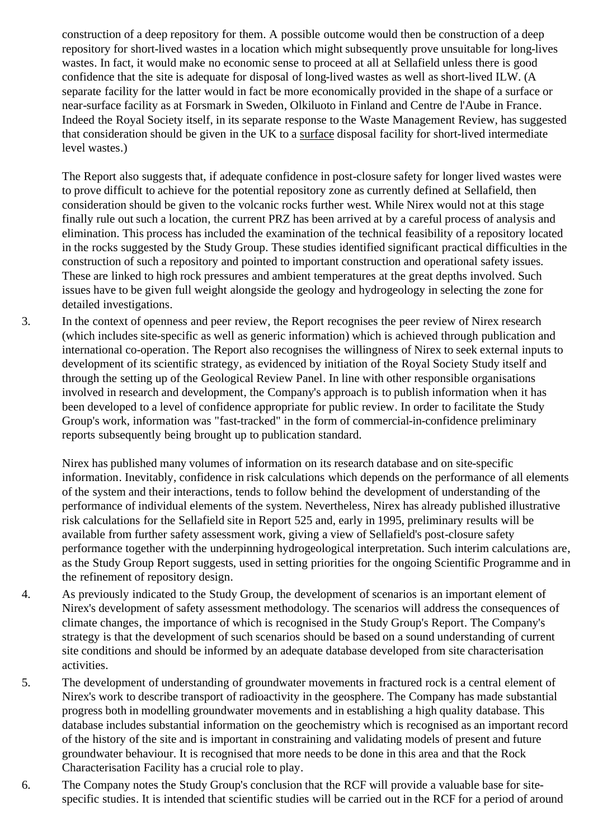construction of a deep repository for them. A possible outcome would then be construction of a deep repository for short-lived wastes in a location which might subsequently prove unsuitable for long-lives wastes. In fact, it would make no economic sense to proceed at all at Sellafield unless there is good confidence that the site is adequate for disposal of long-lived wastes as well as short-lived ILW. (A separate facility for the latter would in fact be more economically provided in the shape of a surface or near-surface facility as at Forsmark in Sweden, Olkiluoto in Finland and Centre de l'Aube in France. Indeed the Royal Society itself, in its separate response to the Waste Management Review, has suggested that consideration should be given in the UK to a surface disposal facility for short-lived intermediate level wastes.)

The Report also suggests that, if adequate confidence in post-closure safety for longer lived wastes were to prove difficult to achieve for the potential repository zone as currently defined at Sellafield, then consideration should be given to the volcanic rocks further west. While Nirex would not at this stage finally rule out such a location, the current PRZ has been arrived at by a careful process of analysis and elimination. This process has included the examination of the technical feasibility of a repository located in the rocks suggested by the Study Group. These studies identified significant practical difficulties in the construction of such a repository and pointed to important construction and operational safety issues. These are linked to high rock pressures and ambient temperatures at the great depths involved. Such issues have to be given full weight alongside the geology and hydrogeology in selecting the zone for detailed investigations.

3. In the context of openness and peer review, the Report recognises the peer review of Nirex research (which includes site-specific as well as generic information) which is achieved through publication and international co-operation. The Report also recognises the willingness of Nirex to seek external inputs to development of its scientific strategy, as evidenced by initiation of the Royal Society Study itself and through the setting up of the Geological Review Panel. In line with other responsible organisations involved in research and development, the Company's approach is to publish information when it has been developed to a level of confidence appropriate for public review. In order to facilitate the Study Group's work, information was "fast-tracked" in the form of commercial-in-confidence preliminary reports subsequently being brought up to publication standard.

Nirex has published many volumes of information on its research database and on site-specific information. Inevitably, confidence in risk calculations which depends on the performance of all elements of the system and their interactions, tends to follow behind the development of understanding of the performance of individual elements of the system. Nevertheless, Nirex has already published illustrative risk calculations for the Sellafield site in Report 525 and, early in 1995, preliminary results will be available from further safety assessment work, giving a view of Sellafield's post-closure safety performance together with the underpinning hydrogeological interpretation. Such interim calculations are, as the Study Group Report suggests, used in setting priorities for the ongoing Scientific Programme and in the refinement of repository design.

- 4. As previously indicated to the Study Group, the development of scenarios is an important element of Nirex's development of safety assessment methodology. The scenarios will address the consequences of climate changes, the importance of which is recognised in the Study Group's Report. The Company's strategy is that the development of such scenarios should be based on a sound understanding of current site conditions and should be informed by an adequate database developed from site characterisation activities.
- 5. The development of understanding of groundwater movements in fractured rock is a central element of Nirex's work to describe transport of radioactivity in the geosphere. The Company has made substantial progress both in modelling groundwater movements and in establishing a high quality database. This database includes substantial information on the geochemistry which is recognised as an important record of the history of the site and is important in constraining and validating models of present and future groundwater behaviour. It is recognised that more needs to be done in this area and that the Rock Characterisation Facility has a crucial role to play.
- 6. The Company notes the Study Group's conclusion that the RCF will provide a valuable base for sitespecific studies. It is intended that scientific studies will be carried out in the RCF for a period of around